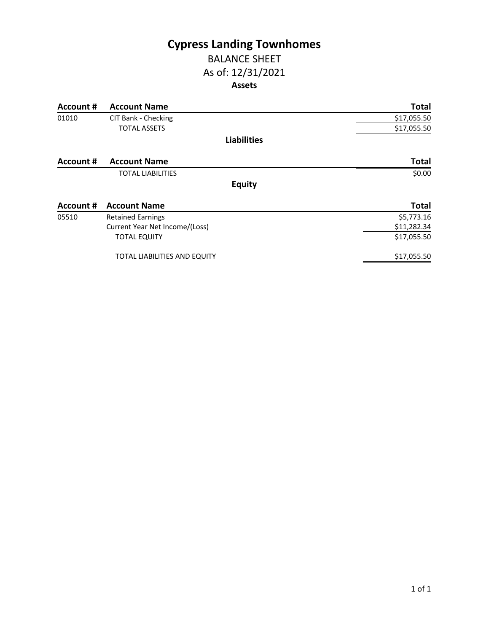# **Cypress Landing Townhomes** BALANCE SHEET

# As of: 12/31/2021 **Assets**

| Account # | <b>Account Name</b>                 | <b>Total</b> |
|-----------|-------------------------------------|--------------|
| 01010     | CIT Bank - Checking                 | \$17,055.50  |
|           | <b>TOTAL ASSETS</b>                 | \$17,055.50  |
|           | <b>Liabilities</b>                  |              |
| Account # | <b>Account Name</b>                 | <b>Total</b> |
|           | <b>TOTAL LIABILITIES</b>            | \$0.00       |
|           | <b>Equity</b>                       |              |
| Account # | <b>Account Name</b>                 | <b>Total</b> |
| 05510     | <b>Retained Earnings</b>            | \$5,773.16   |
|           | Current Year Net Income/(Loss)      | \$11,282.34  |
|           | <b>TOTAL EQUITY</b>                 | \$17,055.50  |
|           | <b>TOTAL LIABILITIES AND EQUITY</b> | \$17,055.50  |